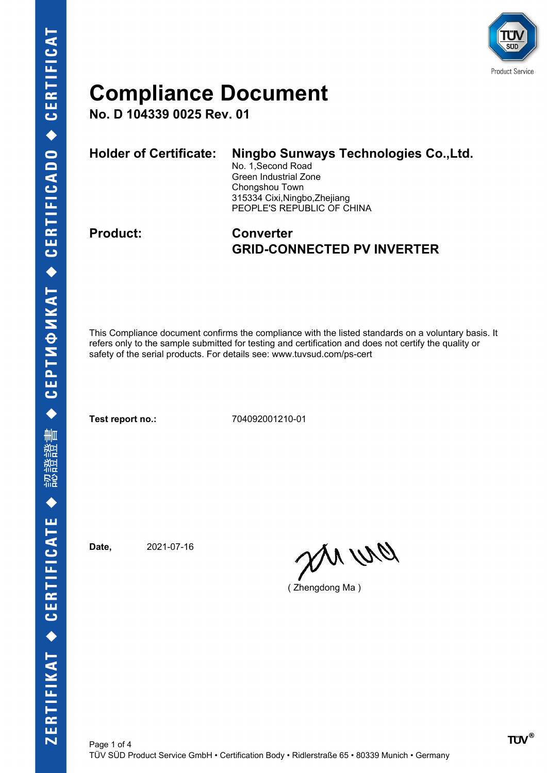

**No. D 104339 0025 Rev. 01**

| <b>Holder of Certificate:</b> | Ningbo Sunways Technologies Co., Ltd.<br>No. 1, Second Road<br>Green Industrial Zone<br>Chongshou Town<br>315334 Cixi, Ningbo, Zhejiang<br>PEOPLE'S REPUBLIC OF CHINA |
|-------------------------------|-----------------------------------------------------------------------------------------------------------------------------------------------------------------------|
|                               |                                                                                                                                                                       |

### **Product: Converter GRID-CONNECTED PV INVERTER**

This Compliance document confirms the compliance with the listed standards on a voluntary basis. It refers only to the sample submitted for testing and certification and does not certify the quality or safety of the serial products. For details see: www.tuvsud.com/ps-cert

**Test report no.:** 704092001210-01

**Date,** 2021-07-16

en ur

( Zhengdong Ma )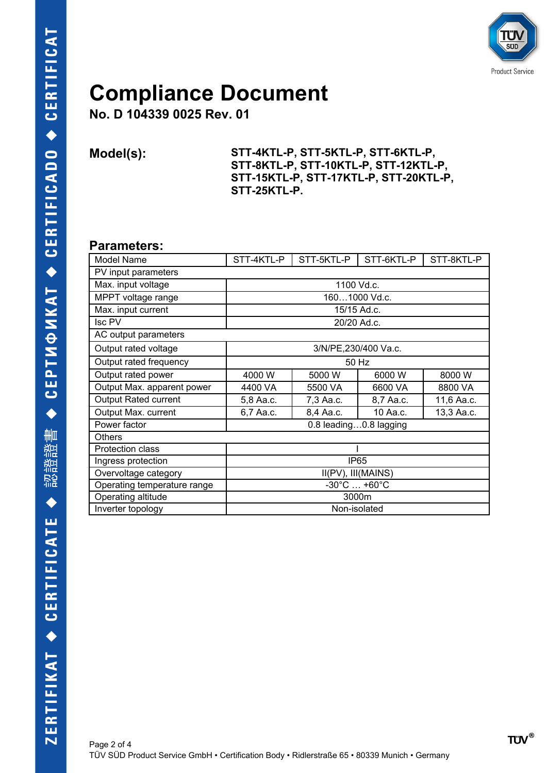

**No. D 104339 0025 Rev. 01**

**Model(s): STT-4KTL-P, STT-5KTL-P, STT-6KTL-P, STT-8KTL-P, STT-10KTL-P, STT-12KTL-P, STT-15KTL-P, STT-17KTL-P, STT-20KTL-P, STT-25KTL-P.**

#### **Parameters:**

| Model Name                  | STT-4KTL-P                       | STT-5KTL-P | STT-6KTL-P | STT-8KTL-P |  |  |
|-----------------------------|----------------------------------|------------|------------|------------|--|--|
| PV input parameters         |                                  |            |            |            |  |  |
| Max. input voltage          | 1100 Vd.c.                       |            |            |            |  |  |
| MPPT voltage range          | 1601000 Vd.c.                    |            |            |            |  |  |
| Max. input current          | 15/15 Ad.c.                      |            |            |            |  |  |
| Isc PV                      | 20/20 Ad.c.                      |            |            |            |  |  |
| AC output parameters        |                                  |            |            |            |  |  |
| Output rated voltage        | 3/N/PE,230/400 Va.c.             |            |            |            |  |  |
| Output rated frequency      | 50 Hz                            |            |            |            |  |  |
| Output rated power          | 4000 W                           | 5000 W     | 6000 W     | 8000 W     |  |  |
| Output Max. apparent power  | 4400 VA                          | 5500 VA    | 6600 VA    | 8800 VA    |  |  |
| <b>Output Rated current</b> | 5,8 Aa.c.                        | 7,3 Aa.c.  | 8,7 Aa.c.  | 11,6 Aa.c. |  |  |
| Output Max. current         | 6,7 Aa.c.                        | 8,4 Aa.c.  | 10 Aa.c.   | 13,3 Aa.c. |  |  |
| Power factor                | 0.8 leading0.8 lagging           |            |            |            |  |  |
| <b>Others</b>               |                                  |            |            |            |  |  |
| Protection class            |                                  |            |            |            |  |  |
| Ingress protection          | IP <sub>65</sub>                 |            |            |            |  |  |
| Overvoltage category        | II(PV), III(MAINS)               |            |            |            |  |  |
| Operating temperature range | $-30^{\circ}$ C $ +60^{\circ}$ C |            |            |            |  |  |
| Operating altitude          | 3000m                            |            |            |            |  |  |
| Inverter topology           | Non-isolated                     |            |            |            |  |  |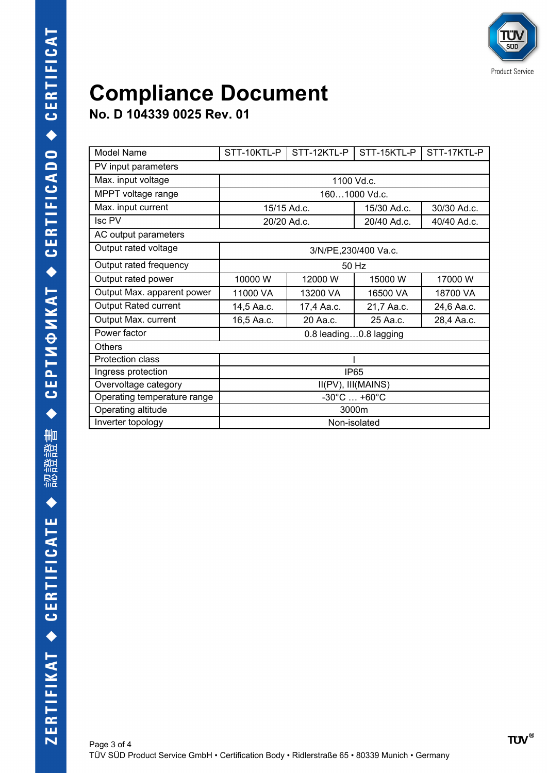**No. D 104339 0025 Rev. 01**

| Model Name                  | STT-10KTL-P                      | STT-12KTL-P | STT-15KTL-P | STT-17KTL-P |  |
|-----------------------------|----------------------------------|-------------|-------------|-------------|--|
| PV input parameters         |                                  |             |             |             |  |
| Max. input voltage          | 1100 Vd.c.                       |             |             |             |  |
| MPPT voltage range          | 1601000 Vd.c.                    |             |             |             |  |
| Max. input current          | 15/15 Ad.c.                      |             | 15/30 Ad.c. | 30/30 Ad.c. |  |
| Isc PV                      | 20/20 Ad.c.                      |             | 20/40 Ad.c. | 40/40 Ad.c. |  |
| AC output parameters        |                                  |             |             |             |  |
| Output rated voltage        | 3/N/PE,230/400 Va.c.             |             |             |             |  |
| Output rated frequency      | 50 Hz                            |             |             |             |  |
| Output rated power          | 10000 W                          | 12000 W     | 15000 W     | 17000 W     |  |
| Output Max. apparent power  | 11000 VA                         | 13200 VA    | 16500 VA    | 18700 VA    |  |
| <b>Output Rated current</b> | 14,5 Aa.c.                       | 17,4 Aa.c.  | 21,7 Aa.c.  | 24,6 Aa.c.  |  |
| Output Max. current         | 16,5 Aa.c.                       | 20 Aa.c.    | 25 Aa.c.    | 28,4 Aa.c.  |  |
| Power factor                | 0.8 leading0.8 lagging           |             |             |             |  |
| Others                      |                                  |             |             |             |  |
| <b>Protection class</b>     |                                  |             |             |             |  |
| Ingress protection          | <b>IP65</b>                      |             |             |             |  |
| Overvoltage category        | II(PV), III(MAINS)               |             |             |             |  |
| Operating temperature range | $-30^{\circ}$ C $ +60^{\circ}$ C |             |             |             |  |
| Operating altitude          | 3000m                            |             |             |             |  |
| Inverter topology           | Non-isolated                     |             |             |             |  |